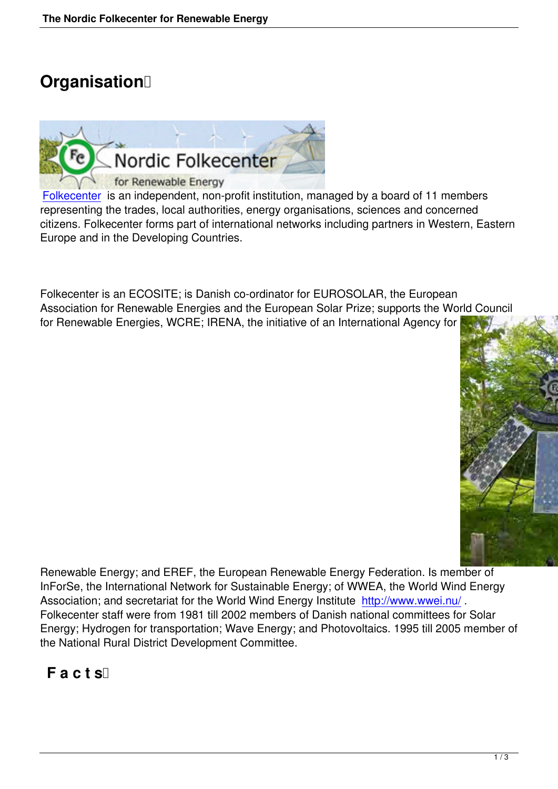# **Organisation**



Folkecenter is an independent, non-profit institution, managed by a board of 11 members representing the trades, local authorities, energy organisations, sciences and concerned citizens. Folkecenter forms part of international networks including partners in Western, Eastern [Europe and](http://www.folkecenter.net/gb/overview/organisation/) in the Developing Countries.

Folkecenter is an ECOSITE; is Danish co-ordinator for EUROSOLAR, the European Association for Renewable Energies and the European Solar Prize; supports the World Council for Renewable Energies, WCRE; IRENA, the initiative of an International Agency for



Renewable Energy; and EREF, the European Renewable Energy Federation. Is member of InForSe, the International Network for Sustainable Energy; of WWEA, the World Wind Energy Association; and secretariat for the World Wind Energy Institute http://www.wwei.nu/. Folkecenter staff were from 1981 till 2002 members of Danish national committees for Solar Energy; Hydrogen for transportation; Wave Energy; and Photovoltaics. 1995 till 2005 member of the National Rural District Development Committee.

# **Facts**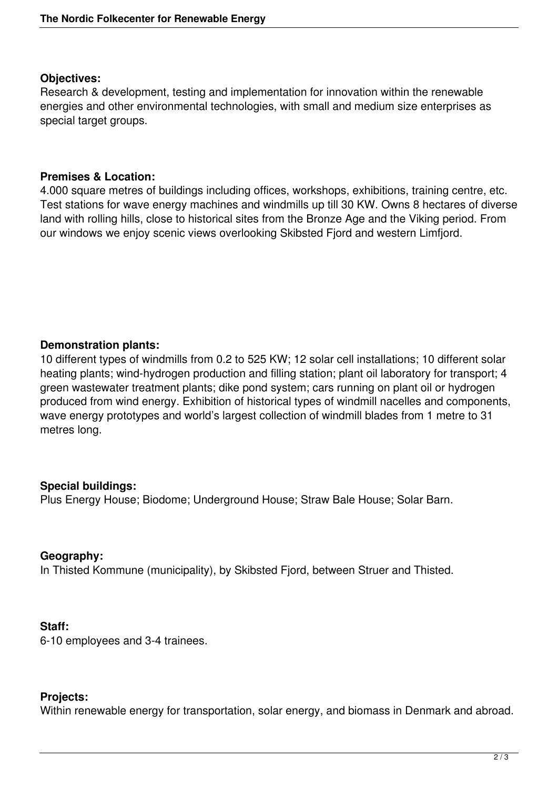## **Objectives:**

Research & development, testing and implementation for innovation within the renewable energies and other environmental technologies, with small and medium size enterprises as special target groups.

## **Premises & Location:**

4.000 square metres of buildings including offices, workshops, exhibitions, training centre, etc. Test stations for wave energy machines and windmills up till 30 KW. Owns 8 hectares of diverse land with rolling hills, close to historical sites from the Bronze Age and the Viking period. From our windows we enjoy scenic views overlooking Skibsted Fjord and western Limfjord.

# **Demonstration plants:**

10 different types of windmills from 0.2 to 525 KW; 12 solar cell installations; 10 different solar heating plants; wind-hydrogen production and filling station; plant oil laboratory for transport; 4 green wastewater treatment plants; dike pond system; cars running on plant oil or hydrogen produced from wind energy. Exhibition of historical types of windmill nacelles and components, wave energy prototypes and world's largest collection of windmill blades from 1 metre to 31 metres long.

# **Special buildings:**

Plus Energy House; Biodome; Underground House; Straw Bale House; Solar Barn.

#### **Geography:**

In Thisted Kommune (municipality), by Skibsted Fjord, between Struer and Thisted.

#### **Staff:**

6-10 employees and 3-4 trainees.

# **Projects:**

Within renewable energy for transportation, solar energy, and biomass in Denmark and abroad.